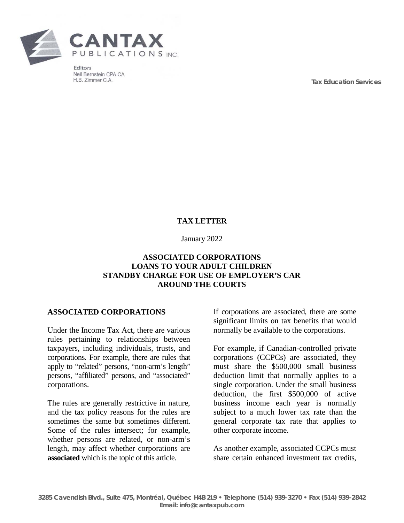

**Editors** Neil Bernstein CPA.CA H.B. Zimmer C.A.

**Tax Education Services**

# **TAX LETTER**

January 2022

## **ASSOCIATED CORPORATIONS LOANS TO YOUR ADULT CHILDREN STANDBY CHARGE FOR USE OF EMPLOYER'S CAR AROUND THE COURTS**

### **ASSOCIATED CORPORATIONS**

Under the Income Tax Act, there are various rules pertaining to relationships between taxpayers, including individuals, trusts, and corporations. For example, there are rules that apply to "related" persons, "non-arm's length" persons, "affiliated" persons, and "associated" corporations.

The rules are generally restrictive in nature, and the tax policy reasons for the rules are sometimes the same but sometimes different. Some of the rules intersect; for example, whether persons are related, or non-arm's length, may affect whether corporations are **associated** which is the topic of this article.

If corporations are associated, there are some significant limits on tax benefits that would normally be available to the corporations.

For example, if Canadian-controlled private corporations (CCPCs) are associated, they must share the \$500,000 small business deduction limit that normally applies to a single corporation. Under the small business deduction, the first \$500,000 of active business income each year is normally subject to a much lower tax rate than the general corporate tax rate that applies to other corporate income.

As another example, associated CCPCs must share certain enhanced investment tax credits,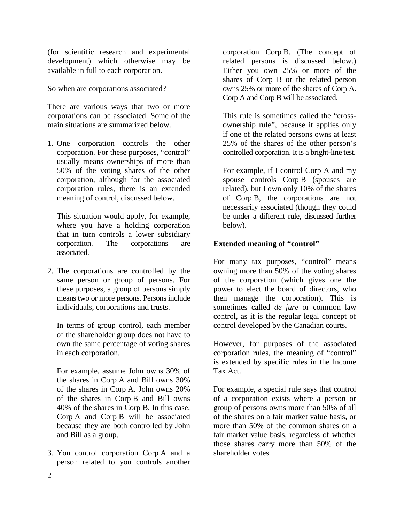(for scientific research and experimental development) which otherwise may be available in full to each corporation.

So when are corporations associated?

There are various ways that two or more corporations can be associated. Some of the main situations are summarized below.

1. One corporation controls the other corporation. For these purposes, "control" usually means ownerships of more than 50% of the voting shares of the other corporation, although for the associated corporation rules, there is an extended meaning of control, discussed below.

This situation would apply, for example, where you have a holding corporation that in turn controls a lower subsidiary corporation. The corporations are associated.

2. The corporations are controlled by the same person or group of persons. For these purposes, a group of persons simply means two or more persons. Persons include individuals, corporations and trusts.

In terms of group control, each member of the shareholder group does not have to own the same percentage of voting shares in each corporation.

For example, assume John owns 30% of the shares in Corp A and Bill owns 30% of the shares in Corp A. John owns 20% of the shares in Corp B and Bill owns 40% of the shares in Corp B. In this case, Corp A and Corp B will be associated because they are both controlled by John and Bill as a group.

3. You control corporation Corp A and a person related to you controls another

corporation Corp B. (The concept of related persons is discussed below.) Either you own 25% or more of the shares of Corp B or the related person owns 25% or more of the shares of Corp A. Corp A and Corp B will be associated.

This rule is sometimes called the "crossownership rule", because it applies only if one of the related persons owns at least 25% of the shares of the other person's controlled corporation. It is a bright-line test.

For example, if I control Corp A and my spouse controls Corp B (spouses are related), but I own only 10% of the shares of Corp B, the corporations are not necessarily associated (though they could be under a different rule, discussed further below).

# **Extended meaning of "control"**

For many tax purposes, "control" means owning more than 50% of the voting shares of the corporation (which gives one the power to elect the board of directors, who then manage the corporation). This is sometimes called *de jure* or common law control, as it is the regular legal concept of control developed by the Canadian courts.

However, for purposes of the associated corporation rules, the meaning of "control" is extended by specific rules in the Income Tax Act.

For example, a special rule says that control of a corporation exists where a person or group of persons owns more than 50% of all of the shares on a fair market value basis, or more than 50% of the common shares on a fair market value basis, regardless of whether those shares carry more than 50% of the shareholder votes.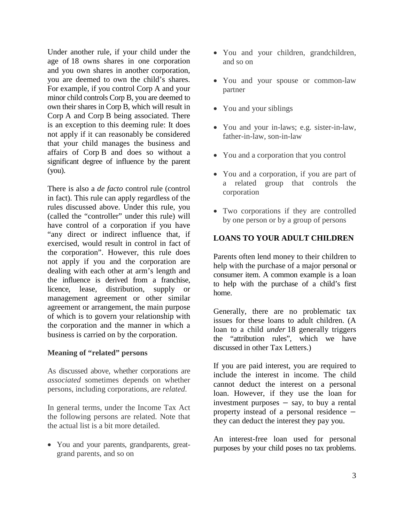Under another rule, if your child under the age of 18 owns shares in one corporation and you own shares in another corporation, you are deemed to own the child's shares. For example, if you control Corp A and your minor child controls Corp B, you are deemed to own their shares in Corp B, which will result in Corp A and Corp B being associated. There is an exception to this deeming rule: It does not apply if it can reasonably be considered that your child manages the business and affairs of Corp B and does so without a significant degree of influence by the parent (you).

There is also a *de facto* control rule (control in fact). This rule can apply regardless of the rules discussed above. Under this rule, you (called the "controller" under this rule) will have control of a corporation if you have "any direct or indirect influence that, if exercised, would result in control in fact of the corporation". However, this rule does not apply if you and the corporation are dealing with each other at arm's length and the influence is derived from a franchise, licence, lease, distribution, supply or management agreement or other similar agreement or arrangement, the main purpose of which is to govern your relationship with the corporation and the manner in which a business is carried on by the corporation.

### **Meaning of "related" persons**

As discussed above, whether corporations are *associated* sometimes depends on whether persons, including corporations, are *related*.

In general terms, under the Income Tax Act the following persons are related. Note that the actual list is a bit more detailed.

• You and your parents, grandparents, greatgrand parents, and so on

- You and your children, grandchildren, and so on
- You and your spouse or common-law partner
- You and your siblings
- You and your in-laws; e.g. sister-in-law, father-in-law, son-in-law
- You and a corporation that you control
- You and a corporation, if you are part of a related group that controls the corporation
- Two corporations if they are controlled by one person or by a group of persons

# **LOANS TO YOUR ADULT CHILDREN**

Parents often lend money to their children to help with the purchase of a major personal or consumer item. A common example is a loan to help with the purchase of a child's first home.

Generally, there are no problematic tax issues for these loans to adult children. (A loan to a child *under* 18 generally triggers the "attribution rules", which we have discussed in other Tax Letters.)

If you are paid interest, you are required to include the interest in income. The child cannot deduct the interest on a personal loan. However, if they use the loan for investment purposes − say, to buy a rental property instead of a personal residence − they can deduct the interest they pay you.

An interest-free loan used for personal purposes by your child poses no tax problems.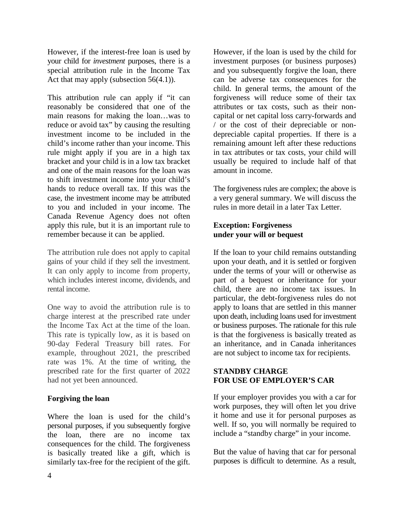However, if the interest-free loan is used by your child for *investment* purposes, there is a special attribution rule in the Income Tax Act that may apply (subsection 56(4.1)).

This attribution rule can apply if "it can reasonably be considered that one of the main reasons for making the loan…was to reduce or avoid tax" by causing the resulting investment income to be included in the child's income rather than your income. This rule might apply if you are in a high tax bracket and your child is in a low tax bracket and one of the main reasons for the loan was to shift investment income into your child's hands to reduce overall tax. If this was the case, the investment income may be attributed to you and included in your income. The Canada Revenue Agency does not often apply this rule, but it is an important rule to remember because it can be applied.

The attribution rule does not apply to capital gains of your child if they sell the investment. It can only apply to income from property, which includes interest income, dividends, and rental income.

One way to avoid the attribution rule is to charge interest at the prescribed rate under the Income Tax Act at the time of the loan. This rate is typically low, as it is based on 90-day Federal Treasury bill rates. For example, throughout 2021, the prescribed rate was 1%. At the time of writing, the prescribed rate for the first quarter of 2022 had not yet been announced.

### **Forgiving the loan**

Where the loan is used for the child's personal purposes, if you subsequently forgive the loan, there are no income tax consequences for the child. The forgiveness is basically treated like a gift, which is similarly tax-free for the recipient of the gift.

However, if the loan is used by the child for investment purposes (or business purposes) and you subsequently forgive the loan, there can be adverse tax consequences for the child. In general terms, the amount of the forgiveness will reduce some of their tax attributes or tax costs, such as their noncapital or net capital loss carry-forwards and / or the cost of their depreciable or nondepreciable capital properties. If there is a remaining amount left after these reductions in tax attributes or tax costs, your child will usually be required to include half of that amount in income.

The forgiveness rules are complex; the above is a very general summary. We will discuss the rules in more detail in a later Tax Letter.

## **Exception: Forgiveness under your will or bequest**

If the loan to your child remains outstanding upon your death, and it is settled or forgiven under the terms of your will or otherwise as part of a bequest or inheritance for your child, there are no income tax issues. In particular, the debt-forgiveness rules do not apply to loans that are settled in this manner upon death, including loans used for investment or business purposes. The rationale for this rule is that the forgiveness is basically treated as an inheritance, and in Canada inheritances are not subject to income tax for recipients.

### **STANDBY CHARGE FOR USE OF EMPLOYER'S CAR**

If your employer provides you with a car for work purposes, they will often let you drive it home and use it for personal purposes as well. If so, you will normally be required to include a "standby charge" in your income.

But the value of having that car for personal purposes is difficult to determine. As a result,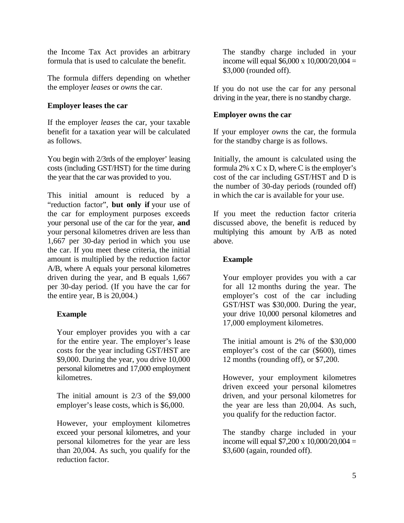the Income Tax Act provides an arbitrary formula that is used to calculate the benefit.

The formula differs depending on whether the employer *leases* or *owns* the car.

### **Employer leases the car**

If the employer *leases* the car, your taxable benefit for a taxation year will be calculated as follows.

You begin with 2/3rds of the employer' leasing costs (including GST/HST) for the time during the year that the car was provided to you.

This initial amount is reduced by a "reduction factor", **but only if** your use of the car for employment purposes exceeds your personal use of the car for the year, **and**  your personal kilometres driven are less than 1,667 per 30-day period in which you use the car. If you meet these criteria, the initial amount is multiplied by the reduction factor A/B, where A equals your personal kilometres driven during the year, and B equals 1,667 per 30-day period. (If you have the car for the entire year, B is 20,004.)

### **Example**

Your employer provides you with a car for the entire year. The employer's lease costs for the year including GST/HST are \$9,000. During the year, you drive 10,000 personal kilometres and 17,000 employment kilometres.

The initial amount is 2/3 of the \$9,000 employer's lease costs, which is \$6,000.

However, your employment kilometres exceed your personal kilometres, and your personal kilometres for the year are less than 20,004. As such, you qualify for the reduction factor.

The standby charge included in your income will equal  $$6,000 \times 10,000/20,004 =$ \$3,000 (rounded off).

If you do not use the car for any personal driving in the year, there is no standby charge.

#### **Employer owns the car**

If your employer *owns* the car, the formula for the standby charge is as follows.

Initially, the amount is calculated using the formula 2% x C x D, where C is the employer's cost of the car including GST/HST and D is the number of 30-day periods (rounded off) in which the car is available for your use.

If you meet the reduction factor criteria discussed above, the benefit is reduced by multiplying this amount by A/B as noted above.

#### **Example**

Your employer provides you with a car for all 12 months during the year. The employer's cost of the car including GST/HST was \$30,000. During the year, your drive 10,000 personal kilometres and 17,000 employment kilometres.

The initial amount is 2% of the \$30,000 employer's cost of the car (\$600), times 12 months (rounding off), or \$7,200.

However, your employment kilometres driven exceed your personal kilometres driven, and your personal kilometres for the year are less than 20,004. As such, you qualify for the reduction factor.

The standby charge included in your income will equal \$7,200 x 10,000/20,004 = \$3,600 (again, rounded off).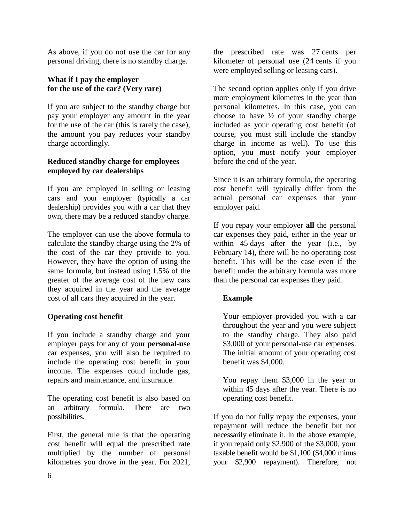As above, if you do not use the car for any personal driving, there is no standby charge.

### **What if I pay the employer for the use of the car? (Very rare)**

If you are subject to the standby charge but pay your employer any amount in the year for the use of the car (this is rarely the case), the amount you pay reduces your standby charge accordingly.

#### **Reduced standby charge for employees employed by car dealerships**

If you are employed in selling or leasing cars and your employer (typically a car dealership) provides you with a car that they own, there may be a reduced standby charge.

The employer can use the above formula to calculate the standby charge using the 2% of the cost of the car they provide to you. However, they have the option of using the same formula, but instead using 1.5% of the greater of the average cost of the new cars they acquired in the year and the average cost of all cars they acquired in the year.

# **Operating cost benefit**

If you include a standby charge and your employer pays for any of your **personal-use** car expenses, you will also be required to include the operating cost benefit in your income. The expenses could include gas, repairs and maintenance, and insurance.

The operating cost benefit is also based on an arbitrary formula. There are two possibilities.

First, the general rule is that the operating cost benefit will equal the prescribed rate multiplied by the number of personal kilometres you drove in the year. For 2021,

the prescribed rate was 27 cents per kilometer of personal use (24 cents if you were employed selling or leasing cars).

The second option applies only if you drive more employment kilometres in the year than personal kilometres. In this case, you can choose to have  $\frac{1}{2}$  of your standby charge included as your operating cost benefit (of course, you must still include the standby charge in income as well). To use this option, you must notify your employer before the end of the year.

Since it is an arbitrary formula, the operating cost benefit will typically differ from the actual personal car expenses that your employer paid.

If you repay your employer **all** the personal car expenses they paid, either in the year or within 45 days after the year (i.e., by February 14), there will be no operating cost benefit. This will be the case even if the benefit under the arbitrary formula was more than the personal car expenses they paid.

# **Example**

Your employer provided you with a car throughout the year and you were subject to the standby charge. They also paid \$3,000 of your personal-use car expenses. The initial amount of your operating cost benefit was \$4,000.

You repay them \$3,000 in the year or within 45 days after the year. There is no operating cost benefit.

If you do not fully repay the expenses, your repayment will reduce the benefit but not necessarily eliminate it. In the above example, if you repaid only \$2,900 of the \$3,000, your taxable benefit would be \$1,100 (\$4,000 minus your \$2,900 repayment). Therefore, not